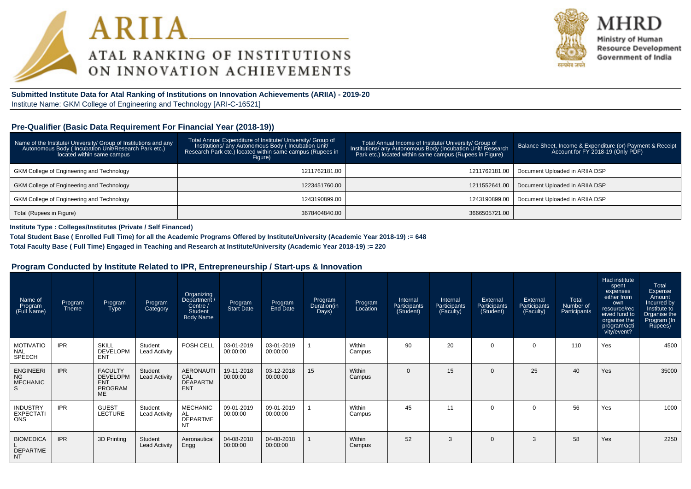



Ministry of Human **Resource Development** Government of India

**Submitted Institute Data for Atal Ranking of Institutions on Innovation Achievements (ARIIA) - 2019-20**Institute Name: GKM College of Engineering and Technology [ARI-C-16521]

#### **Pre-Qualifier (Basic Data Requirement For Financial Year (2018-19))**

| Name of the Institute/ University/ Group of Institutions and any<br>Autonomous Body (Incubation Unit/Research Park etc.)<br>located within same campus | Total Annual Expenditure of Institute/ University/ Group of<br>Institutions/ any Autonomous Body (Incubation Unit/<br>Research Park etc.) located within same campus (Rupees in<br>Figure) | Total Annual Income of Institute/ University/ Group of<br>Institutions/ any Autonomous Body (Incubation Unit/ Research<br>Park etc.) located within same campus (Rupees in Figure) | Balance Sheet, Income & Expenditure (or) Payment & Receipt<br>Account for FY 2018-19 (Only PDF) |
|--------------------------------------------------------------------------------------------------------------------------------------------------------|--------------------------------------------------------------------------------------------------------------------------------------------------------------------------------------------|------------------------------------------------------------------------------------------------------------------------------------------------------------------------------------|-------------------------------------------------------------------------------------------------|
| GKM College of Engineering and Technology                                                                                                              | 1211762181.00                                                                                                                                                                              | 1211762181.00                                                                                                                                                                      | Document Uploaded in ARIIA DSP                                                                  |
| <b>GKM College of Engineering and Technology</b>                                                                                                       | 1223451760.00                                                                                                                                                                              | 1211552641.00                                                                                                                                                                      | Document Uploaded in ARIIA DSP                                                                  |
| <b>GKM College of Engineering and Technology</b>                                                                                                       | 1243190899.00                                                                                                                                                                              | 1243190899.00                                                                                                                                                                      | Document Uploaded in ARIIA DSP                                                                  |
| Total (Rupees in Figure)                                                                                                                               | 3678404840.00                                                                                                                                                                              | 3666505721.00                                                                                                                                                                      |                                                                                                 |

**Institute Type : Colleges/Institutes (Private / Self Financed)**

**Total Student Base ( Enrolled Full Time) for all the Academic Programs Offered by Institute/University (Academic Year 2018-19) := 648**

**Total Faculty Base ( Full Time) Engaged in Teaching and Research at Institute/University (Academic Year 2018-19) := 220**

#### **Program Conducted by Institute Related to IPR, Entrepreneurship / Start-ups & Innovation**

| Name of<br>Program<br>(Full Name)                     | Program<br>Theme | Program<br>Type                                                         | Program<br>Category             | Organizing<br>/ Department<br>Centre /<br><b>Student</b><br><b>Body Name</b> | Program<br>Start Date  | Program<br>End Date    | Program<br>Duration(in<br>Days) | Program<br>Location | Internal<br>Participants<br>(Student) | Internal<br>Participants<br>(Faculty) | External<br>Participants<br>(Student) | External<br>Participants<br>(Faculty) | Total<br>Number of<br>Participants | Had institute<br>spent<br>expenses<br>either from<br>own<br>resource/rec<br>eived fund to<br>organise the<br>program/acti<br>vity/event? | Total<br>Expense<br>Amount<br>Incurred by<br>Institute to<br>Organise the<br>Program (In<br>Rupees) |
|-------------------------------------------------------|------------------|-------------------------------------------------------------------------|---------------------------------|------------------------------------------------------------------------------|------------------------|------------------------|---------------------------------|---------------------|---------------------------------------|---------------------------------------|---------------------------------------|---------------------------------------|------------------------------------|------------------------------------------------------------------------------------------------------------------------------------------|-----------------------------------------------------------------------------------------------------|
| <b>MOTIVATIO</b><br><b>NAL</b><br>SPEECH              | <b>IPR</b>       | <b>SKILL</b><br><b>DEVELOPM</b><br><b>ENT</b>                           | Student<br><b>Lead Activity</b> | POSH CELL                                                                    | 03-01-2019<br>00:00:00 | 03-01-2019<br>00:00:00 |                                 | Within<br>Campus    | 90                                    | 20                                    | $\Omega$                              | 0                                     | 110                                | Yes                                                                                                                                      | 4500                                                                                                |
| <b>ENGINEERI</b><br><b>NG</b><br><b>MECHANIC</b><br>S | <b>IPR</b>       | <b>FACULTY</b><br><b>DEVELOPM</b><br><b>ENT</b><br><b>PROGRAM</b><br>ME | Student<br><b>Lead Activity</b> | <b>AERONAUTI</b><br>CAL<br><b>DEAPARTM</b><br><b>ENT</b>                     | 19-11-2018<br>00:00:00 | 03-12-2018<br>00:00:00 | 15                              | Within<br>Campus    | $\Omega$                              | 15                                    | $\Omega$                              | 25                                    | 40                                 | Yes                                                                                                                                      | 35000                                                                                               |
| <b>INDUSTRY</b><br><b>EXPECTATI</b><br><b>ONS</b>     | <b>IPR</b>       | <b>GUEST</b><br><b>LECTURE</b>                                          | Student<br><b>Lead Activity</b> | <b>MECHANIC</b><br>AL<br><b>DEPARTME</b><br><b>NT</b>                        | 09-01-2019<br>00:00:00 | 09-01-2019<br>00:00:00 |                                 | Within<br>Campus    | 45                                    | 11                                    | $\Omega$                              | 0                                     | 56                                 | Yes                                                                                                                                      | 1000                                                                                                |
| <b>BIOMEDICA</b><br><b>DEPARTME</b><br><b>NT</b>      | <b>IPR</b>       | 3D Printing                                                             | Student<br><b>Lead Activity</b> | Aeronautical<br>Engg                                                         | 04-08-2018<br>00:00:00 | 04-08-2018<br>00:00:00 |                                 | Within<br>Campus    | 52                                    | 3                                     | $\Omega$                              | 3                                     | 58                                 | Yes                                                                                                                                      | 2250                                                                                                |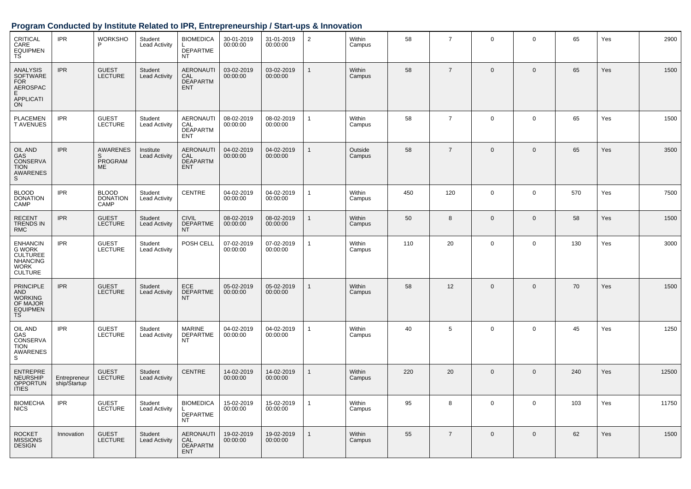### **Program Conducted by Institute Related to IPR, Entrepreneurship / Start-ups & Innovation**

| CRITICAL<br>CARE<br><b>EQUIPMEN</b><br><b>TS</b>                                                 | <b>IPR</b>                   | <b>WORKSHO</b><br>P                                 | Student<br><b>Lead Activity</b>   | <b>BIOMEDICA</b><br><b>DEPARTME</b><br><b>NT</b>         | 30-01-2019<br>00:00:00 | 31-01-2019<br>00:00:00 | $\overline{c}$ | Within<br>Campus  | 58  | $\overline{7}$ | $\mathbf 0$    | 0            | 65  | Yes | 2900  |
|--------------------------------------------------------------------------------------------------|------------------------------|-----------------------------------------------------|-----------------------------------|----------------------------------------------------------|------------------------|------------------------|----------------|-------------------|-----|----------------|----------------|--------------|-----|-----|-------|
| ANALYSIS<br><b>SOFTWARE</b><br><b>FOR</b><br>AEROSPAC<br>E<br><b>APPLICATI</b><br>ON             | <b>IPR</b>                   | <b>GUEST</b><br><b>LECTURE</b>                      | Student<br><b>Lead Activity</b>   | <b>AERONAUTI</b><br>CAL<br><b>DEAPARTM</b><br><b>ENT</b> | 03-02-2019<br>00:00:00 | 03-02-2019<br>00:00:00 | $\mathbf{1}$   | Within<br>Campus  | 58  | $\overline{7}$ | $\Omega$       | $\mathbf{0}$ | 65  | Yes | 1500  |
| <b>PLACEMEN</b><br><b>TAVENUES</b>                                                               | <b>IPR</b>                   | <b>GUEST</b><br><b>LECTURE</b>                      | Student<br><b>Lead Activity</b>   | <b>AERONAUTI</b><br>CAL<br><b>DEAPARTM</b><br><b>ENT</b> | 08-02-2019<br>00:00:00 | 08-02-2019<br>00:00:00 | $\overline{1}$ | Within<br>Campus  | 58  | $\overline{7}$ | $\overline{0}$ | $\mathbf 0$  | 65  | Yes | 1500  |
| <b>OIL AND</b><br>GAS<br>CONSERVA<br><b>TION</b><br>AWARENES<br>S                                | <b>IPR</b>                   | <b>AWARENES</b><br>S<br><b>PROGRAM</b><br><b>ME</b> | Institute<br><b>Lead Activity</b> | <b>AERONAUTI</b><br>CAL<br><b>DEAPARTM</b><br><b>ENT</b> | 04-02-2019<br>00:00:00 | 04-02-2019<br>00:00:00 | $\mathbf{1}$   | Outside<br>Campus | 58  | $\overline{7}$ | $\Omega$       | $\mathbf{0}$ | 65  | Yes | 3500  |
| <b>BLOOD</b><br><b>DONATION</b><br>CAMP                                                          | <b>IPR</b>                   | <b>BLOOD</b><br><b>DONATION</b><br>CAMP             | Student<br><b>Lead Activity</b>   | <b>CENTRE</b>                                            | 04-02-2019<br>00:00:00 | 04-02-2019<br>00:00:00 | $\mathbf{1}$   | Within<br>Campus  | 450 | 120            | $\Omega$       | $\mathbf 0$  | 570 | Yes | 7500  |
| <b>RECENT</b><br><b>TRENDS IN</b><br><b>RMC</b>                                                  | <b>IPR</b>                   | <b>GUEST</b><br><b>LECTURE</b>                      | Student<br><b>Lead Activity</b>   | <b>CIVIL</b><br><b>DEPARTME</b><br><b>NT</b>             | 08-02-2019<br>00:00:00 | 08-02-2019<br>00:00:00 | 1              | Within<br>Campus  | 50  | 8              | $\overline{0}$ | $\mathbf 0$  | 58  | Yes | 1500  |
| <b>ENHANCIN</b><br>G WORK<br><b>CULTUREE</b><br><b>NHANCING</b><br><b>WORK</b><br><b>CULTURE</b> | <b>IPR</b>                   | <b>GUEST</b><br><b>LECTURE</b>                      | Student<br><b>Lead Activity</b>   | POSH CELL                                                | 07-02-2019<br>00:00:00 | 07-02-2019<br>00:00:00 | $\mathbf{1}$   | Within<br>Campus  | 110 | 20             | $\overline{0}$ | $\mathbf 0$  | 130 | Yes | 3000  |
| <b>PRINCIPLE</b><br><b>AND</b><br><b>WORKING</b><br>OF MAJOR<br><b>EQUIPMEN</b><br>TS            | <b>IPR</b>                   | <b>GUEST</b><br><b>LECTURE</b>                      | Student<br><b>Lead Activity</b>   | ECE<br><b>DEPARTME</b><br><b>NT</b>                      | 05-02-2019<br>00:00:00 | 05-02-2019<br>00:00:00 | 1              | Within<br>Campus  | 58  | 12             | $\Omega$       | $\mathbf{0}$ | 70  | Yes | 1500  |
| OIL AND<br>GAS<br>CONSERVA<br><b>TION</b><br>AWARENES<br>S                                       | <b>IPR</b>                   | <b>GUEST</b><br><b>LECTURE</b>                      | Student<br><b>Lead Activity</b>   | <b>MARINE</b><br><b>DEPARTME</b><br><b>NT</b>            | 04-02-2019<br>00:00:00 | 04-02-2019<br>00:00:00 | 1              | Within<br>Campus  | 40  | 5              | $\overline{0}$ | $\mathbf 0$  | 45  | Yes | 1250  |
| <b>ENTREPRE</b><br><b>NEURSHIP</b><br><b>OPPORTUN</b><br><b>ITIES</b>                            | Entrepreneur<br>ship/Startup | <b>GUEST</b><br><b>LECTURE</b>                      | Student<br><b>Lead Activity</b>   | <b>CENTRE</b>                                            | 14-02-2019<br>00:00:00 | 14-02-2019<br>00:00:00 | $\mathbf{1}$   | Within<br>Campus  | 220 | 20             | $\Omega$       | $\mathbf{0}$ | 240 | Yes | 12500 |
| <b>BIOMECHA</b><br><b>NICS</b>                                                                   | <b>IPR</b>                   | <b>GUEST</b><br><b>LECTURE</b>                      | Student<br><b>Lead Activity</b>   | <b>BIOMEDICA</b><br><b>DEPARTME</b><br>NT                | 15-02-2019<br>00:00:00 | 15-02-2019<br>00:00:00 | $\mathbf{1}$   | Within<br>Campus  | 95  | 8              | $\Omega$       | $\mathbf 0$  | 103 | Yes | 11750 |
| <b>ROCKET</b><br><b>MISSIONS</b><br><b>DESIGN</b>                                                | Innovation                   | <b>GUEST</b><br><b>LECTURE</b>                      | Student<br><b>Lead Activity</b>   | <b>AERONAUTI</b><br>CAL<br><b>DEAPARTM</b><br><b>ENT</b> | 19-02-2019<br>00:00:00 | 19-02-2019<br>00:00:00 |                | Within<br>Campus  | 55  | $\overline{7}$ | $\Omega$       | $\mathbf 0$  | 62  | Yes | 1500  |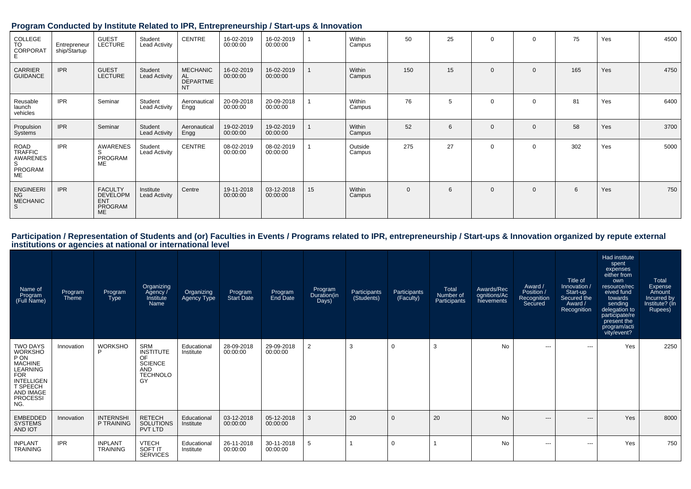| $\ddot{\phantom{1}}$                                     |                              | . .                                                              |                                 |                                                       |                        | and the second state of the second<br>and the pro- |    |                   |             |    |              |                |     |     |      |
|----------------------------------------------------------|------------------------------|------------------------------------------------------------------|---------------------------------|-------------------------------------------------------|------------------------|----------------------------------------------------|----|-------------------|-------------|----|--------------|----------------|-----|-----|------|
| COLLEGE<br>TO<br><b>CORPORAT</b>                         | Entrepreneur<br>ship/Startup | <b>GUEST</b><br><b>LECTURE</b>                                   | Student<br><b>Lead Activity</b> | CENTRE                                                | 16-02-2019<br>00:00:00 | 16-02-2019<br>00:00:00                             |    | Within<br>Campus  | 50          | 25 | $\mathbf 0$  | $\mathbf 0$    | 75  | Yes | 4500 |
| CARRIER<br><b>GUIDANCE</b>                               | <b>IPR</b>                   | <b>GUEST</b><br><b>LECTURE</b>                                   | Student<br><b>Lead Activity</b> | <b>MECHANIC</b><br>AL<br><b>DEPARTME</b><br><b>NT</b> | 16-02-2019<br>00:00:00 | 16-02-2019<br>00:00:00                             |    | Within<br>Campus  | 150         | 15 | $\mathbf{0}$ | $\mathbf{0}$   | 165 | Yes | 4750 |
| Reusable<br>launch<br>vehicles                           | <b>IPR</b>                   | Seminar                                                          | Student<br><b>Lead Activity</b> | Aeronautical<br>Engg                                  | 20-09-2018<br>00:00:00 | 20-09-2018<br>00:00:00                             |    | Within<br>Campus  | 76          | 5  | $\Omega$     | $\mathbf 0$    | 81  | Yes | 6400 |
| Propulsion<br>Systems                                    | <b>IPR</b>                   | Seminar                                                          | Student<br><b>Lead Activity</b> | Aeronautical<br>Engg                                  | 19-02-2019<br>00:00:00 | 19-02-2019<br>00:00:00                             |    | Within<br>Campus  | 52          | 6  | $\mathbf{0}$ | $\overline{0}$ | 58  | Yes | 3700 |
| ROAD<br>TRAFFIC<br>AWARENES<br>S<br>PROGRAM<br><b>ME</b> | <b>IPR</b>                   | AWARENES<br>S<br>PROGRAM<br>ME                                   | Student<br>Lead Activity        | CENTRE                                                | 08-02-2019<br>00:00:00 | 08-02-2019<br>00:00:00                             |    | Outside<br>Campus | 275         | 27 | $\mathbf 0$  | $\mathbf 0$    | 302 | Yes | 5000 |
| <b>ENGINEERI</b><br><b>NG</b><br><b>MECHANIC</b>         | <b>IPR</b>                   | <b>FACULTY</b><br><b>DEVELOPM</b><br><b>ENT</b><br>PROGRAM<br>ME | Institute<br>Lead Activity      | Centre                                                | 19-11-2018<br>00:00:00 | 03-12-2018<br>00:00:00                             | 15 | Within<br>Campus  | $\mathbf 0$ | 6  | $\mathbf 0$  | $\mathbf 0$    | 6   | Yes | 750  |

#### **Program Conducted by Institute Related to IPR, Entrepreneurship / Start-ups & Innovation**

| Name of<br>Program<br>(Full Name)                                                                                                                      | Program<br>Theme | Program<br><b>Type</b>            | Organizing<br>Agency /<br>Institute<br>Name                                            | Organizing<br>Agency Type | Program<br>Start Date  | Program<br>End Date    | Program<br>Duration(in<br>Days) | Participants<br>(Students) | Participants<br>(Faculty) | Total<br>Number of<br>Participants | Awards/Rec<br>ognitions/Ac<br>hievements | Award /<br>Position /<br>Recognition<br>Secured | Title of<br>Innovation /<br>Start-up<br>Secured the<br>Award /<br>Recognition | Had institute<br>spent<br>expenses<br>either from<br>own<br>resource/rec<br>eived fund<br>towards<br>sending<br>delegation to<br>participate/re<br>present the<br>program/acti<br>vity/event? | Total<br>Expense<br>Amount<br>Incurred by<br>Institute? (In<br>Rupees) |
|--------------------------------------------------------------------------------------------------------------------------------------------------------|------------------|-----------------------------------|----------------------------------------------------------------------------------------|---------------------------|------------------------|------------------------|---------------------------------|----------------------------|---------------------------|------------------------------------|------------------------------------------|-------------------------------------------------|-------------------------------------------------------------------------------|-----------------------------------------------------------------------------------------------------------------------------------------------------------------------------------------------|------------------------------------------------------------------------|
| TWO DAYS<br><b>WORKSHO</b><br>P ON<br><b>MACHINE</b><br>LEARNING<br><b>FOR</b><br><b>INTELLIGEN</b><br>T SPEECH<br>AND IMAGE<br><b>PROCESSI</b><br>NG. | Innovation       | <b>WORKSHO</b><br>D               | SRM<br><b>INSTITUTE</b><br>OF<br><b>SCIENCE</b><br><b>AND</b><br><b>TECHNOLO</b><br>GY | Educational<br>Institute  | 28-09-2018<br>00:00:00 | 29-09-2018<br>00:00:00 | $\overline{2}$                  | 3                          | $\mathbf 0$               | 3                                  | No                                       | ---                                             | $---$                                                                         | Yes                                                                                                                                                                                           | 2250                                                                   |
| <b>EMBEDDED</b><br><b>SYSTEMS</b><br>AND IOT                                                                                                           | Innovation       | <b>INTERNSHI</b><br>P TRAINING    | <b>RETECH</b><br><b>SOLUTIONS</b><br>PVT LTD                                           | Educational<br>Institute  | 03-12-2018<br>00:00:00 | 05-12-2018<br>00:00:00 | 3                               | 20                         | $\mathbf{0}$              | 20                                 | N <sub>o</sub>                           | ---                                             | $---$                                                                         | Yes                                                                                                                                                                                           | 8000                                                                   |
| <b>INPLANT</b><br><b>TRAINING</b>                                                                                                                      | <b>IPR</b>       | <b>INPLANT</b><br><b>TRAINING</b> | <b>VTECH</b><br>SOFT IT<br><b>SERVICES</b>                                             | Educational<br>Institute  | 26-11-2018<br>00:00:00 | 30-11-2018<br>00:00:00 | 5                               |                            | 0                         |                                    | No                                       | ---                                             | $\cdots$                                                                      | Yes                                                                                                                                                                                           | 750                                                                    |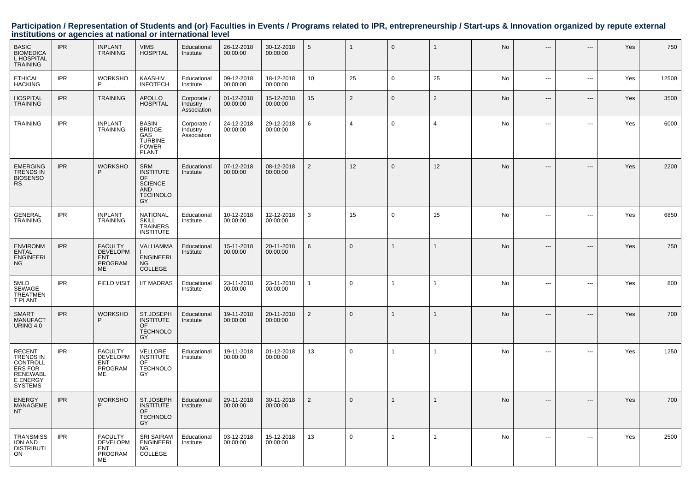| <b>BASIC</b><br><b>BIOMEDICA</b><br>L HOSPITAL<br><b>TRAINING</b>                                  | <b>IPR</b> | <b>INPLANT</b><br><b>TRAINING</b>                                        | <b>VIMS</b><br><b>HOSPITAL</b>                                                                       | Educational<br>Institute               | 26-12-2018<br>00:00:00 | 30-12-2018<br>00:00:00 | $\,$ 5 $\,$    | $\mathbf{1}$   | $\mathbf{0}$ | $\mathbf{1}$   | No        | ---            | $\overline{a}$           | Yes | 750   |
|----------------------------------------------------------------------------------------------------|------------|--------------------------------------------------------------------------|------------------------------------------------------------------------------------------------------|----------------------------------------|------------------------|------------------------|----------------|----------------|--------------|----------------|-----------|----------------|--------------------------|-----|-------|
| <b>ETHICAL</b><br><b>HACKING</b>                                                                   | <b>IPR</b> | <b>WORKSHO</b><br>P                                                      | KAASHIV<br><b>INFOTECH</b>                                                                           | Educational<br>Institute               | 09-12-2018<br>00:00:00 | 18-12-2018<br>00:00:00 | 10             | 25             | $\Omega$     | 25             | No        | $\overline{a}$ | $\sim$ $\sim$            | Yes | 12500 |
| <b>HOSPITAL</b><br><b>TRAINING</b>                                                                 | <b>IPR</b> | <b>TRAINING</b>                                                          | <b>APOLLO</b><br><b>HOSPITAL</b>                                                                     | Corporate /<br>Industry<br>Association | 01-12-2018<br>00:00:00 | 15-12-2018<br>00:00:00 | 15             | $\overline{2}$ | $\mathbf{0}$ | $\overline{2}$ | No        | $\overline{a}$ | $---$                    | Yes | 3500  |
| <b>TRAINING</b>                                                                                    | <b>IPR</b> | <b>INPLANT</b><br><b>TRAINING</b>                                        | <b>BASIN</b><br><b>BRIDGE</b><br>GAS<br><b>TURBINE</b><br><b>POWER</b><br><b>PLANT</b>               | Corporate /<br>Industry<br>Association | 24-12-2018<br>00:00:00 | 29-12-2018<br>00:00:00 | 6              | $\overline{4}$ | $\Omega$     | Δ              | No        | $- - -$        | $- - -$                  | Yes | 6000  |
| <b>EMERGING</b><br><b>TRENDS IN</b><br><b>BIOSENSO</b><br><b>RS</b>                                | <b>IPR</b> | <b>WORKSHO</b><br>D                                                      | <b>SRM</b><br><b>INSTITUTE</b><br><b>OF</b><br><b>SCIENCE</b><br><b>AND</b><br><b>TECHNOLO</b><br>GY | Educational<br>Institute               | 07-12-2018<br>00:00:00 | 08-12-2018<br>00:00:00 | $\overline{2}$ | 12             | $\Omega$     | 12             | No        | ---            | $\overline{a}$           | Yes | 2200  |
| <b>GENERAL</b><br><b>TRAINING</b>                                                                  | <b>IPR</b> | <b>INPLANT</b><br><b>TRAINING</b>                                        | <b>NATIONAL</b><br><b>SKILL</b><br><b>TRAINERS</b><br><b>INSTITUTE</b>                               | Educational<br>Institute               | 10-12-2018<br>00:00:00 | 12-12-2018<br>00:00:00 | 3              | 15             | $\mathbf 0$  | 15             | No        | ---            | $\overline{\phantom{a}}$ | Yes | 6850  |
| <b>ENVIRONM</b><br><b>ENTAL</b><br><b>ENGINEERI</b><br>NG.                                         | <b>IPR</b> | <b>FACULTY</b><br><b>DEVELOPM</b><br><b>ENT</b><br><b>PROGRAM</b><br>ME. | <b>VALLIAMMA</b><br><b>ENGINEERI</b><br>NG.<br><b>COLLEGE</b>                                        | Educational<br>Institute               | 15-11-2018<br>00:00:00 | 20-11-2018<br>00:00:00 | 6              | $\Omega$       | 1            | 1              | No        |                | $\overline{a}$           | Yes | 750   |
| 5MLD<br>SEWAGE<br><b>TREATMEN</b><br>T PLANT                                                       | <b>IPR</b> | <b>FIELD VISIT</b>                                                       | <b>IIT MADRAS</b>                                                                                    | Educational<br>Institute               | 23-11-2018<br>00:00:00 | 23-11-2018<br>00:00:00 | $\overline{1}$ | $\mathbf 0$    | 1            | 1              | No        | ---            | $\overline{\phantom{a}}$ | Yes | 800   |
| <b>SMART</b><br><b>MANUFACT</b><br><b>URING 4.0</b>                                                | <b>IPR</b> | <b>WORKSHO</b><br>D                                                      | ST.JOSEPH<br><b>INSTITUTE</b><br>OF<br><b>TECHNOLO</b><br>GY                                         | Educational<br>Institute               | 19-11-2018<br>00:00:00 | 20-11-2018<br>00:00:00 | 2              | $\Omega$       | $\mathbf{1}$ | $\mathbf{1}$   | <b>No</b> |                | $\overline{a}$           | Yes | 700   |
| <b>RECENT</b><br>TRENDS IN<br>CONTROLL<br>ERS FOR<br><b>RENEWABL</b><br>E ENERGY<br><b>SYSTEMS</b> | <b>IPR</b> | <b>FACULTY</b><br><b>DEVELOPM</b><br><b>ENT</b><br><b>PROGRAM</b><br>ME  | VELLORE<br><b>INSTITUTE</b><br>OF<br><b>TECHNOLO</b><br>GY                                           | Educational<br>Institute               | 19-11-2018<br>00:00:00 | 01-12-2018<br>00:00:00 | 13             | $\mathbf 0$    | 1            | 1              | No        | $\overline{a}$ | $\overline{\phantom{a}}$ | Yes | 1250  |
| <b>ENERGY</b><br><b>MANAGEME</b><br><b>NT</b>                                                      | <b>IPR</b> | <b>WORKSHO</b><br>P                                                      | ST.JOSEPH<br><b>INSTITUTE</b><br>OF<br><b>TECHNOLO</b><br>GY                                         | Educational<br>Institute               | 29-11-2018<br>00:00:00 | 30-11-2018<br>00:00:00 | $\overline{2}$ | $\Omega$       | 1            | $\mathbf 1$    | <b>No</b> | ---            | ---                      | Yes | 700   |
| <b>TRANSMISS</b><br>ION AND<br><b>DISTRIBUTI</b><br><b>ON</b>                                      | <b>IPR</b> | <b>FACULTY</b><br><b>DEVELOPM</b><br><b>ENT</b><br>PROGRAM<br>ME         | <b>SRI SAIRAM</b><br><b>ENGINEERI</b><br><b>NG</b><br>COLLEGE                                        | Educational<br>Institute               | 03-12-2018<br>00:00:00 | 15-12-2018<br>00:00:00 | 13             | $\Omega$       | $\mathbf{1}$ | $\overline{1}$ | No        | $\cdots$       | $---$                    | Yes | 2500  |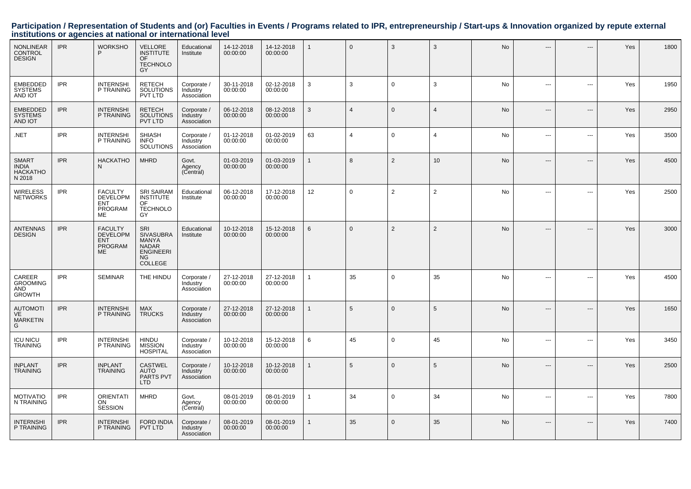| <b>NONLINEAR</b><br><b>CONTROL</b><br><b>DESIGN</b>       | <b>IPR</b> | <b>WORKSHO</b><br>P                                                            | <b>VELLORE</b><br><b>INSTITUTE</b><br><b>OF</b><br><b>TECHNOLO</b><br>GY                                   | Educational<br>Institute               | 14-12-2018<br>00:00:00 | 14-12-2018<br>00:00:00 |              | $\mathbf 0$    | 3              | 3              | No        | ---            | ---            | Yes | 1800 |
|-----------------------------------------------------------|------------|--------------------------------------------------------------------------------|------------------------------------------------------------------------------------------------------------|----------------------------------------|------------------------|------------------------|--------------|----------------|----------------|----------------|-----------|----------------|----------------|-----|------|
| <b>EMBEDDED</b><br><b>SYSTEMS</b><br>AND IOT              | <b>IPR</b> | <b>INTERNSHI</b><br>P TRAINING                                                 | <b>RETECH</b><br>SOLUTIONS<br>PVT LTD                                                                      | Corporate /<br>Industry<br>Associátion | 30-11-2018<br>00:00:00 | 02-12-2018<br>00:00:00 | 3            | 3              | $\mathbf 0$    | 3              | No        | ---            | ---            | Yes | 1950 |
| <b>EMBEDDED</b><br><b>SYSTEMS</b><br>AND IOT              | <b>IPR</b> | <b>INTERNSHI</b><br>P TRAINING                                                 | <b>RETECH</b><br>SOLUTIONS<br>PVT LTD                                                                      | Corporate /<br>Industry<br>Association | 06-12-2018<br>00:00:00 | 08-12-2018<br>00:00:00 | $\mathbf{3}$ | $\overline{4}$ | $\mathbf 0$    | $\overline{4}$ | No        | ---            | ---            | Yes | 2950 |
| .NET                                                      | <b>IPR</b> | <b>INTERNSHI</b><br>P TRAINING                                                 | <b>SHIASH</b><br><b>INFO</b><br><b>SOLUTIONS</b>                                                           | Corporate /<br>Industry<br>Association | 01-12-2018<br>00:00:00 | 01-02-2019<br>00:00:00 | 63           | $\overline{4}$ | $\mathbf 0$    | $\overline{4}$ | No        | ---            | ---            | Yes | 3500 |
| <b>SMART</b><br><b>INDIA</b><br><b>HACKATHO</b><br>N 2018 | <b>IPR</b> | <b>HACKATHO</b><br>N                                                           | <b>MHRD</b>                                                                                                | Govt.<br>Agency<br>(Central)           | 01-03-2019<br>00:00:00 | 01-03-2019<br>00:00:00 |              | 8              | 2              | 10             | No        | ---            | $---$          | Yes | 4500 |
| <b>WIRELESS</b><br><b>NETWORKS</b>                        | <b>IPR</b> | <b>FACULTY</b><br><b>DEVELOPM</b><br><b>ENT</b><br>PROGRAM<br><b>ME</b>        | <b>SRI SAIRAM</b><br><b>INSTITUTE</b><br>OF<br><b>TECHNOLO</b><br>GY                                       | Educational<br>Institute               | 06-12-2018<br>00:00:00 | 17-12-2018<br>00:00:00 | 12           | $\mathbf 0$    | $\overline{2}$ | $\overline{2}$ | No        | ---            | ---            | Yes | 2500 |
| <b>ANTENNAS</b><br><b>DESIGN</b>                          | <b>IPR</b> | <b>FACULTY</b><br><b>DEVELOPM</b><br><b>ENT</b><br><b>PROGRAM</b><br><b>ME</b> | <b>SRI</b><br><b>SIVASUBRA</b><br><b>MANYA</b><br><b>NADAR</b><br><b>ENGINEERI</b><br><b>NG</b><br>COLLEGE | Educational<br>Institute               | 10-12-2018<br>00:00:00 | 15-12-2018<br>00:00:00 | 6            | $\Omega$       | 2              | $\overline{2}$ | <b>No</b> | ---            | ---            | Yes | 3000 |
| CAREER<br><b>GROOMING</b><br>AND<br><b>GROWTH</b>         | <b>IPR</b> | <b>SEMINAR</b>                                                                 | THE HINDU                                                                                                  | Corporate /<br>Industry<br>Association | 27-12-2018<br>00:00:00 | 27-12-2018<br>00:00:00 |              | 35             | $\mathbf 0$    | 35             | No        | ---            | ---            | Yes | 4500 |
| <b>AUTOMOTI</b><br>VE<br><b>MARKETIN</b><br>G             | <b>IPR</b> | <b>INTERNSHI</b><br>P TRAINING                                                 | <b>MAX</b><br><b>TRUCKS</b>                                                                                | Corporate /<br>Industry<br>Association | 27-12-2018<br>00:00:00 | 27-12-2018<br>00:00:00 |              | 5              | $\Omega$       | 5              | No        | $\overline{a}$ | $---$          | Yes | 1650 |
| <b>ICU NICU</b><br><b>TRAINING</b>                        | <b>IPR</b> | <b>INTERNSHI</b><br>P TRAINING                                                 | HINDU<br><b>MISSION</b><br><b>HOSPITAL</b>                                                                 | Corporate /<br>Industry<br>Association | 10-12-2018<br>00:00:00 | 15-12-2018<br>00:00:00 | 6            | 45             | $\mathbf 0$    | 45             | No        | ---            | $\overline{a}$ | Yes | 3450 |
| <b>INPLANT</b><br><b>TRAINING</b>                         | <b>IPR</b> | <b>INPLANT</b><br><b>TRAINING</b>                                              | <b>CASTWEL</b><br><b>AUTO</b><br>PARTS PVT<br>LTD                                                          | Corporate /<br>Industry<br>Association | 10-12-2018<br>00:00:00 | 10-12-2018<br>00:00:00 |              | 5              | $\mathbf{0}$   | 5              | <b>No</b> | ---            | $---$          | Yes | 2500 |
| <b>MOTIVATIO</b><br>N TRAINING                            | <b>IPR</b> | <b>ORIENTATI</b><br>ON<br><b>SESSION</b>                                       | <b>MHRD</b>                                                                                                | Govt.<br>Agency<br>(Central)           | 08-01-2019<br>00:00:00 | 08-01-2019<br>00:00:00 | 1            | 34             | $\mathbf 0$    | 34             | No        | ---            | ---            | Yes | 7800 |
| <b>INTERNSHI</b><br>P TRAINING                            | <b>IPR</b> | <b>INTERNSHI</b><br>P TRAINING                                                 | <b>FORD INDIA</b><br>PVT LTD                                                                               | Corporate /<br>Industry<br>Association | 08-01-2019<br>00:00:00 | 08-01-2019<br>00:00:00 | $\mathbf{1}$ | 35             | $\mathbf{0}$   | 35             | No        | ---            | $---$          | Yes | 7400 |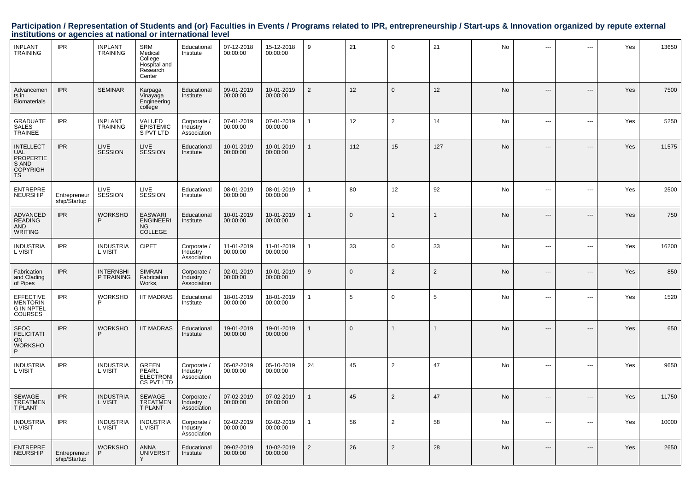| INPLANT<br>TRAINING                                                                         | <b>IPR</b>                   | <b>INPLANT</b><br><b>TRAINING</b> | SRM<br>Medical<br>College<br>Hospital and<br>Research<br>Center | Educational<br>Institute               | 07-12-2018<br>00:00:00 | 15-12-2018<br>00:00:00 | $9\,$          | 21       | $\mathbf 0$    | 21             | No        |                | ---                      | Yes | 13650 |
|---------------------------------------------------------------------------------------------|------------------------------|-----------------------------------|-----------------------------------------------------------------|----------------------------------------|------------------------|------------------------|----------------|----------|----------------|----------------|-----------|----------------|--------------------------|-----|-------|
| Advancemen<br>ts in<br><b>Biomaterials</b>                                                  | <b>IPR</b>                   | <b>SEMINAR</b>                    | Karpaga<br>Vinayaga<br>Engineering<br>college                   | Educational<br>Institute               | 09-01-2019<br>00:00:00 | 10-01-2019<br>00:00:00 | $\overline{2}$ | 12       | $\Omega$       | 12             | <b>No</b> |                | ---                      | Yes | 7500  |
| <b>GRADUATE</b><br><b>SALES</b><br><b>TRAINEE</b>                                           | <b>IPR</b>                   | <b>INPLANT</b><br><b>TRAINING</b> | VALUED<br>EPISTEMIC<br>S PVT LTD                                | Corporate /<br>Industry<br>Association | 07-01-2019<br>00:00:00 | 07-01-2019<br>00:00:00 | $\mathbf{1}$   | 12       | $\overline{2}$ | 14             | No        | ---            | $\overline{a}$           | Yes | 5250  |
| <b>INTELLECT</b><br><b>UAL</b><br><b>PROPERTIE</b><br>S AND<br><b>COPYRIGH</b><br><b>TS</b> | <b>IPR</b>                   | <b>LIVE</b><br><b>SESSION</b>     | LIVE<br><b>SESSION</b>                                          | Educational<br>Institute               | 10-01-2019<br>00:00:00 | 10-01-2019<br>00:00:00 | $\mathbf{1}$   | 112      | 15             | 127            | <b>No</b> |                | ---                      | Yes | 11575 |
| <b>ENTREPRE</b><br><b>NEURSHIP</b>                                                          | Entrepreneur<br>ship/Startup | LIVE<br><b>SESSION</b>            | LIVE<br><b>SESSION</b>                                          | Educational<br>Institute               | 08-01-2019<br>00:00:00 | 08-01-2019<br>00:00:00 | $\overline{1}$ | 80       | 12             | 92             | <b>No</b> | ---            | $\overline{a}$           | Yes | 2500  |
| <b>ADVANCED</b><br><b>READING</b><br><b>AND</b><br><b>WRITING</b>                           | <b>IPR</b>                   | <b>WORKSHO</b><br>P               | <b>EASWARI</b><br><b>ENGINEERI</b><br><b>NG</b><br>COLLEGE      | Educational<br>Institute               | 10-01-2019<br>00:00:00 | 10-01-2019<br>00:00:00 | $\mathbf{1}$   | $\Omega$ |                |                | No        | ---            | $---$                    | Yes | 750   |
| <b>INDUSTRIA</b><br>L VISIT                                                                 | <b>IPR</b>                   | <b>INDUSTRIA</b><br>L VISIT       | <b>CIPET</b>                                                    | Corporate /<br>Industry<br>Association | 11-01-2019<br>00:00:00 | 11-01-2019<br>00:00:00 | $\overline{1}$ | 33       | $\mathbf 0$    | 33             | No        | ---            | $\overline{\phantom{a}}$ | Yes | 16200 |
| Fabrication<br>and Clading<br>of Pipes                                                      | <b>IPR</b>                   | <b>INTERNSHI</b><br>P TRAINING    | <b>SIMRAN</b><br>Fabrication<br>Works,                          | Corporate /<br>Industry<br>Association | 02-01-2019<br>00:00:00 | 10-01-2019<br>00:00:00 | 9              | $\Omega$ | 2              | $\overline{2}$ | No        | ---            | $\overline{a}$           | Yes | 850   |
| <b>EFFECTIVE</b><br><b>MENTORIN</b><br><b>G IN NPTEL</b><br><b>COURSES</b>                  | <b>IPR</b>                   | <b>WORKSHO</b><br>P               | <b>IIT MADRAS</b>                                               | Educational<br>Institute               | 18-01-2019<br>00:00:00 | 18-01-2019<br>00:00:00 | $\overline{1}$ | 5        | $\mathbf 0$    | 5              | No        | $\overline{a}$ | $\overline{a}$           | Yes | 1520  |
| <b>SPOC</b><br><b>FELICITATI</b><br><b>ON</b><br><b>WORKSHO</b><br>P                        | <b>IPR</b>                   | <b>WORKSHO</b><br>P               | <b>IIT MADRAS</b>                                               | Educational<br>Institute               | 19-01-2019<br>00:00:00 | 19-01-2019<br>00:00:00 | $\mathbf{1}$   | $\Omega$ |                |                | No        | ---            | $---$                    | Yes | 650   |
| <b>INDUSTRIA</b><br>L VISIT                                                                 | <b>IPR</b>                   | <b>INDUSTRIA</b><br>L VISIT       | <b>GREEN</b><br><b>PEARL</b><br><b>ELECTRONI</b><br>CS PVT LTD  | Corporate /<br>Industry<br>Association | 05-02-2019<br>00:00:00 | 05-10-2019<br>00:00:00 | 24             | 45       | $\overline{2}$ | 47             | No        | $\overline{a}$ | ---                      | Yes | 9650  |
| <b>SEWAGE</b><br><b>TREATMEN</b><br><b>T PLANT</b>                                          | <b>IPR</b>                   | <b>INDUSTRIA</b><br>L VISIT       | <b>SEWAGE</b><br><b>TREATMEN</b><br><b>T PLANT</b>              | Corporate /<br>Industry<br>Association | 07-02-2019<br>00:00:00 | 07-02-2019<br>00:00:00 | $\mathbf{1}$   | 45       | $\overline{2}$ | 47             | No        |                | ---                      | Yes | 11750 |
| <b>INDUSTRIA</b><br>L VISIT                                                                 | <b>IPR</b>                   | <b>INDUSTRIA</b><br>L VISIT       | <b>INDUSTRIA</b><br>L VISIT                                     | Corporate /<br>Industry<br>Association | 02-02-2019<br>00:00:00 | 02-02-2019<br>00:00:00 | $\mathbf{1}$   | 56       | 2              | 58             | No        | $\overline{a}$ | ---                      | Yes | 10000 |
| <b>ENTREPRE</b><br><b>NEURSHIP</b>                                                          | Entrepreneur<br>ship/Startup | <b>WORKSHO</b><br>P               | <b>ANNA</b><br><b>UNIVERSIT</b>                                 | Educational<br>Institute               | 09-02-2019<br>00:00:00 | 10-02-2019<br>00:00:00 | 2              | 26       | 2              | 28             | No        |                | ---                      | Yes | 2650  |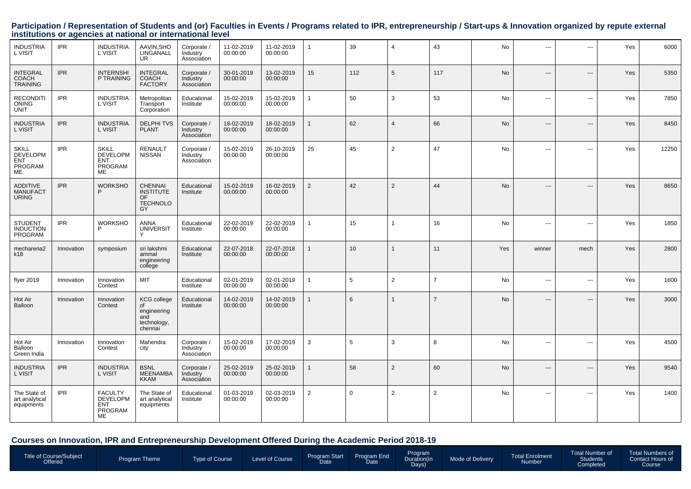| <b>INDUSTRIA</b><br>L VISIT                                    | <b>IPR</b> | <b>INDUSTRIA</b><br>L VISIT                                      | AAVIN, SHO<br>LINGANALL<br><b>UR</b>                                            | Corporate /<br>Industry<br>Association | 11-02-2019<br>00:00:00 | 11-02-2019<br>00:00:00 | 1              | 39  | $\overline{4}$ | 43             | No        | $\overline{a}$                | ---   | Yes | 6000  |
|----------------------------------------------------------------|------------|------------------------------------------------------------------|---------------------------------------------------------------------------------|----------------------------------------|------------------------|------------------------|----------------|-----|----------------|----------------|-----------|-------------------------------|-------|-----|-------|
| <b>INTEGRAL</b><br><b>COACH</b><br><b>TRAINING</b>             | <b>IPR</b> | <b>INTERNSHI</b><br>P TRAINING                                   | <b>INTEGRAL</b><br><b>COACH</b><br><b>FACTORY</b>                               | Corporate /<br>Industry<br>Association | 30-01-2019<br>00:00:00 | 13-02-2019<br>00:00:00 | 15             | 112 | 5              | 117            | <b>No</b> | $---$                         | $---$ | Yes | 5350  |
| <b>RECONDITI</b><br><b>ONING</b><br><b>UNIT</b>                | <b>IPR</b> | <b>INDUSTRIA</b><br>L VISIT                                      | Metropolitan<br>Transport<br>Corporation                                        | Educational<br>Institute               | 15-02-2019<br>00:00:00 | 15-02-2019<br>00:00:00 | 1              | 50  | 3              | 53             | No.       | ---                           | ---   | Yes | 7850  |
| <b>INDUSTRIA</b><br>L VISIT                                    | <b>IPR</b> | <b>INDUSTRIA</b><br>L VISIT                                      | <b>DELPHITVS</b><br><b>PLANT</b>                                                | Corporate /<br>Industry<br>Association | 18-02-2019<br>00:00:00 | 18-02-2019<br>00:00:00 | $\mathbf{1}$   | 62  | $\overline{4}$ | 66             | <b>No</b> | $\hspace{1.5cm} \textbf{---}$ | ---   | Yes | 8450  |
| <b>SKILL</b><br><b>DEVELOPM</b><br>ENT<br>PROGRAM<br><b>ME</b> | <b>IPR</b> | SKILL<br><b>DEVELOPM</b><br><b>ENT</b><br>PROGRAM<br><b>ME</b>   | <b>RENAULT</b><br><b>NISSAN</b>                                                 | Corporate /<br>Industry<br>Association | 15-02-2019<br>00:00:00 | 26-10-2019<br>00:00:00 | 25             | 45  | $\overline{2}$ | 47             | <b>No</b> | ---                           | ---   | Yes | 12250 |
| ADDITIVE<br><b>MANUFACT</b><br><b>URING</b>                    | <b>IPR</b> | <b>WORKSHO</b><br>P                                              | <b>CHENNAI</b><br><b>INSTITUTE</b><br>OF.<br><b>TECHNOLO</b><br>GY              | Educational<br>Institute               | 15-02-2019<br>00:00:00 | 16-02-2019<br>00:00:00 | $\overline{2}$ | 42  | $\overline{2}$ | 44             | <b>No</b> | $\hspace{1.5cm} \textbf{---}$ | $---$ | Yes | 8650  |
| STUDENT<br>INDUCTION<br>PROGRAM                                | <b>IPR</b> | <b>WORKSHO</b>                                                   | <b>ANNA</b><br><b>UNIVERSIT</b>                                                 | Educational<br>Institute               | 22-02-2019<br>00:00:00 | 22-02-2019<br>00:00:00 | 1              | 15  | $\overline{1}$ | 16             | <b>No</b> | $\cdots$                      | ---   | Yes | 1850  |
| mecharena2<br>k18                                              | Innovation | symposium                                                        | sri lakshmi<br>ammal<br>engineering<br>college                                  | Educational<br>Institute               | 22-07-2018<br>00:00:00 | 22-07-2018<br>00:00:00 | $\mathbf{1}$   | 10  | $\overline{1}$ | 11             | Yes       | winner                        | mech  | Yes | 2800  |
| flyer 2019                                                     | Innovation | Innovation<br>Contest                                            | <b>MIT</b>                                                                      | Educational<br>Institute               | 02-01-2019<br>00:00:00 | 02-01-2019<br>00:00:00 | $\mathbf{1}$   | 5   | 2              | $\overline{7}$ | No        | $\cdots$                      | ---   | Yes | 1600  |
| Hot Air<br>Balloon                                             | Innovation | Innovation<br>Contest                                            | <b>KCG</b> college<br><b>of</b><br>engineering<br>and<br>technology,<br>chennai | Educational<br>Institute               | 14-02-2019<br>00:00:00 | 14-02-2019<br>00:00:00 |                | 6   | $\mathbf{1}$   | $\overline{7}$ | No.       | $\hspace{1.5cm} \textbf{---}$ | ---   | Yes | 3000  |
| Hot Air<br>Balloon<br>Green India                              | Innovation | Innovation<br>Contest                                            | Mahendra<br>city                                                                | Corporate /<br>Industry<br>Association | 15-02-2019<br>00:00:00 | 17-02-2019<br>00:00:00 | 3              | 5   | 3              | 8              | No        | ---                           | ---   | Yes | 4500  |
| <b>INDUSTRIA</b><br>L VISIT                                    | <b>IPR</b> | <b>INDUSTRIA</b><br>L VISIT                                      | <b>BSNL</b><br><b>MEENAMBA</b><br><b>KKAM</b>                                   | Corporate /<br>Industry<br>Association | 25-02-2019<br>00:00:00 | 25-02-2019<br>00:00:00 | $\mathbf{1}$   | 58  | $\overline{2}$ | 60             | No        | $---$                         | $---$ | Yes | 9540  |
| The State of<br>art analytical<br>equipments                   | <b>IPR</b> | <b>FACULTY</b><br><b>DEVELOPM</b><br><b>ENT</b><br>PROGRAM<br>ME | The State of<br>art analytical<br>equipments                                    | Educational<br>Institute               | 01-03-2019<br>00:00:00 | 02-03-2019<br>00:00:00 | $\overline{2}$ | 0   | 2              | $\overline{2}$ | No        | $- - -$                       | ---   | Yes | 1400  |

#### **Courses on Innovation, IPR and Entrepreneurship Development Offered During the Academic Period 2018-19**

|--|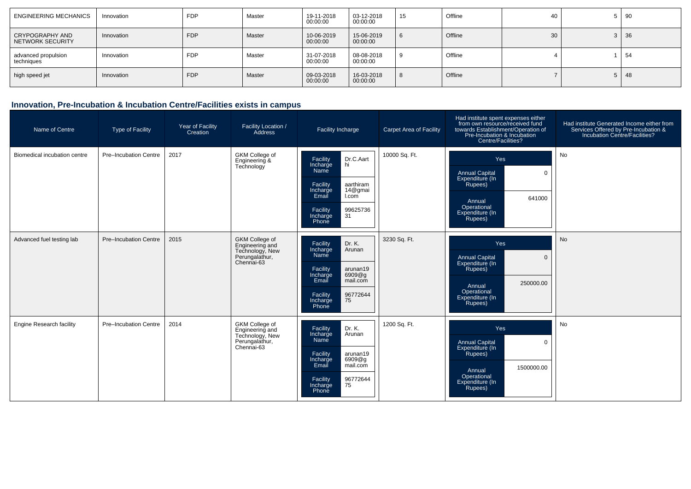| <b>ENGINEERING MECHANICS</b>        | Innovation | <b>FDP</b> | Master | 19-11-2018<br>00:00:00 | 03-12-2018<br>00:00:00 | 15 | Offline | 40 | 5 <sup>1</sup> | -90         |
|-------------------------------------|------------|------------|--------|------------------------|------------------------|----|---------|----|----------------|-------------|
| CRYPOGRAPHY AND<br>NETWORK SECURITY | Innovation | <b>FDP</b> | Master | 10-06-2019<br>00:00:00 | 15-06-2019<br>00:00:00 | -6 | Offline | 30 |                | $3 \mid 36$ |
| advanced propulsion<br>techniques   | Innovation | <b>FDP</b> | Master | 31-07-2018<br>00:00:00 | 08-08-2018<br>00:00:00 |    | Offline |    |                | 54          |
| high speed jet                      | Innovation | <b>FDP</b> | Master | 09-03-2018<br>00:00:00 | 16-03-2018<br>00:00:00 | -8 | Offline |    | 5 <sup>1</sup> | 48          |

#### **Innovation, Pre-Incubation & Incubation Centre/Facilities exists in campus**

| Name of Centre                  | <b>Type of Facility</b> | Year of Facility<br>Creation | Facility Location /<br>Address                                                              | <b>Facility Incharge</b>                                                                                                                                               | <b>Carpet Area of Facility</b> | Had institute spent expenses either<br>from own resource/received fund<br>towards Establishment/Operation of<br>Pre-Incubation & Incubation<br>Centre/Facilities? | Had institute Generated Income either from<br>Services Offered by Pre-Incubation &<br>Incubation Centre/Facilities? |
|---------------------------------|-------------------------|------------------------------|---------------------------------------------------------------------------------------------|------------------------------------------------------------------------------------------------------------------------------------------------------------------------|--------------------------------|-------------------------------------------------------------------------------------------------------------------------------------------------------------------|---------------------------------------------------------------------------------------------------------------------|
| Biomedical incubation centre    | Pre-Incubation Centre   | 2017                         | GKM College of<br>Engineering &<br>Technology                                               | Dr.C.Aart<br>hi<br>Facility<br>Incharge<br>Name<br>Facility<br>aarthiram<br>14@gmai<br>Incharge<br>Email<br>l.com<br>99625736<br>Facility<br>31<br>Incharge<br>Phone   | 10000 Sq. Ft.                  | Yes<br><b>Annual Capital</b><br>$\mathbf 0$<br>Expenditure (In<br>Rupees)<br>641000<br>Annual<br>Operational<br>Expenditure (In<br>Rupees)                        | <b>No</b>                                                                                                           |
| Advanced fuel testing lab       | Pre-Incubation Centre   | 2015                         | <b>GKM College of</b><br>Engineering and<br>Technology, New<br>Perungalathur,<br>Chennai-63 | Dr. K.<br>Facility<br>Arunan<br>Incharge<br>Name<br>Facility<br>arunan19<br>6909@g<br>Incharge<br>Email<br>mail.com<br>96772644<br>75<br>Facility<br>Incharge<br>Phone | 3230 Sq. Ft.                   | Yes<br><b>Annual Capital</b><br>$\mathbf 0$<br>Expenditure (In<br>Rupees)<br>250000.00<br>Annual<br>Operational<br>Expenditure (In<br>Rupees)                     | <b>No</b>                                                                                                           |
| <b>Engine Research facility</b> | Pre-Incubation Centre   | 2014                         | <b>GKM College of</b><br>Engineering and<br>Technology, New<br>Perungalathur,<br>Chennai-63 | Dr. K.<br>Facility<br>Arunan<br>Incharge<br>Name<br>Facility<br>arunan19<br>6909@q<br>Incharge<br>Email<br>mail.com<br>96772644<br>75<br>Facility<br>Incharge<br>Phone | 1200 Sq. Ft.                   | Yes<br><b>Annual Capital</b><br>$\mathbf 0$<br>Expenditure (In<br>Rupees)<br>1500000.00<br>Annual<br>Operational<br>Expenditure (In<br>Rupees)                    | <b>No</b>                                                                                                           |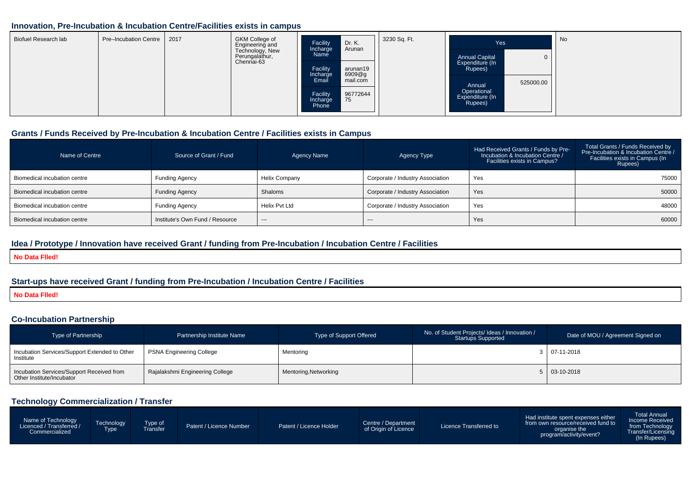#### **Innovation, Pre-Incubation & Incubation Centre/Facilities exists in campus**

| Biofuel Research lab | Pre-Incubation Centre |  | <b>GKM College of</b><br>Engineering and<br>Technology, New<br>Perungalathur,<br>Chennai-63 | Dr. K.<br>Facility<br>Incharge<br>Arunan<br>Name                | 3230 Sq. Ft. | Yes<br><b>Annual Capital</b>              | l No      |
|----------------------|-----------------------|--|---------------------------------------------------------------------------------------------|-----------------------------------------------------------------|--------------|-------------------------------------------|-----------|
|                      |                       |  |                                                                                             | Facility<br>arunan19<br>6909@g<br>Incharge<br>mail.com<br>Email |              | Expenditure (In<br>Rupees)<br>Annual      | 525000.00 |
|                      |                       |  |                                                                                             | 96772644<br>Facility<br>75<br>Incharge<br>Phone                 |              | Operational<br>Expenditure (In<br>Rupees) |           |

#### **Grants / Funds Received by Pre-Incubation & Incubation Centre / Facilities exists in Campus**

| Name of Centre               | Source of Grant / Fund          | Agency Name   | Agency Type                      | Had Received Grants / Funds by Pre-<br>Incubation & Incubation Centre /<br>Facilities exists in Campus? | Total Grants / Funds Received by<br>Pre-Incubation & Incubation Centre /<br>Facilities exists in Campus (In<br>Rupees) |
|------------------------------|---------------------------------|---------------|----------------------------------|---------------------------------------------------------------------------------------------------------|------------------------------------------------------------------------------------------------------------------------|
| Biomedical incubation centre | Funding Agency                  | Helix Company | Corporate / Industry Association | Yes                                                                                                     | 75000                                                                                                                  |
| Biomedical incubation centre | <b>Funding Agency</b>           | Shaloms       | Corporate / Industry Association | Yes                                                                                                     | 50000                                                                                                                  |
| Biomedical incubation centre | <b>Funding Agency</b>           | Helix Pvt Ltd | Corporate / Industry Association | Yes                                                                                                     | 48000                                                                                                                  |
| Biomedical incubation centre | Institute's Own Fund / Resource | $---$         | $---$                            | Yes                                                                                                     | 60000                                                                                                                  |

#### **Idea / Prototype / Innovation have received Grant / funding from Pre-Incubation / Incubation Centre / Facilities**

**No Data Flled!**

### **Start-ups have received Grant / funding from Pre-Incubation / Incubation Centre / Facilities**

**No Data Flled!**

#### **Co-Incubation Partnership**

| <b>Type of Partnership</b>                                             | Partnership Institute Name      | Type of Support Offered | No. of Student Projects/ Ideas / Innovation /<br><b>Startups Supported</b> | Date of MOU / Agreement Signed on |  |
|------------------------------------------------------------------------|---------------------------------|-------------------------|----------------------------------------------------------------------------|-----------------------------------|--|
| Incubation Services/Support Extended to Other<br>Institute             | <b>PSNA Engineering College</b> | Mentoring               |                                                                            | $3   07-11-2018$                  |  |
| Incubation Services/Support Received from<br>Other Institute/Incubator | Rajalakshmi Engineering College | Mentoring, Networking   |                                                                            | 5 03-10-2018                      |  |

#### **Technology Commercialization / Transfer**

| Name of Technology<br>Licenced / Transferred /<br>Commercialized | <b>Technology</b><br>Type of<br><b>Type</b><br>Transfer | Patent / Licence Number | Patent / Licence Holder | Centre / Department<br>of Origin of Licence | Licence Transferred to | Had institute spent expenses either<br>from own resource/received fund to<br>organise the<br>program/activity/event? | Total Annual<br>Income Received<br>from Technology<br>Transfer/Licensing<br>(In Rupees) |
|------------------------------------------------------------------|---------------------------------------------------------|-------------------------|-------------------------|---------------------------------------------|------------------------|----------------------------------------------------------------------------------------------------------------------|-----------------------------------------------------------------------------------------|
|------------------------------------------------------------------|---------------------------------------------------------|-------------------------|-------------------------|---------------------------------------------|------------------------|----------------------------------------------------------------------------------------------------------------------|-----------------------------------------------------------------------------------------|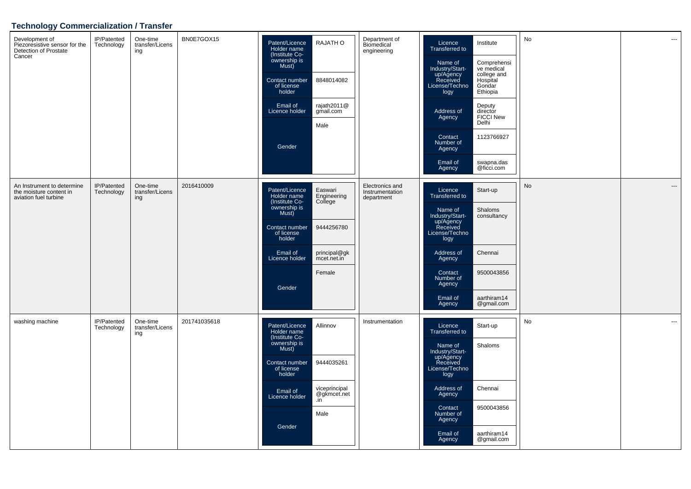## **Technology Commercialization / Transfer**

| Development of<br>Piezoresistive sensor for the<br>Detection of Prostate<br>Cancer | IP/Patented<br>Technology | One-time<br>transfer/Licens<br>ing | BN0E7GOX15   | Patent/Licence<br>Holder name<br>(Institute Co-<br>ownership is<br>Must)<br>Contact number<br>of license<br>holder<br>Email of<br>Licence holder<br>Gender                | RAJATH O<br>8848014082<br>rajath2011@<br>gmail.com<br>Male                               | Department of<br>Biomedical<br>engineering       | Licence<br>Transferred to<br>Name of<br>Industry/Start-<br>up/Agency<br>Received<br>License/Techno<br>logy<br>Address of<br>Agency<br>Contact<br>Number of<br>Agency<br>Email of<br>Agency        | Institute<br>Comprehensi<br>ve medical<br>college and<br>Hospital<br>Gondar<br>Ethiopia<br>Deputy<br>director<br><b>FICCI New</b><br>Delhi<br>1123766927<br>swapna.das<br>@ficci.com | No | $\cdots$                 |
|------------------------------------------------------------------------------------|---------------------------|------------------------------------|--------------|---------------------------------------------------------------------------------------------------------------------------------------------------------------------------|------------------------------------------------------------------------------------------|--------------------------------------------------|---------------------------------------------------------------------------------------------------------------------------------------------------------------------------------------------------|--------------------------------------------------------------------------------------------------------------------------------------------------------------------------------------|----|--------------------------|
| An Instrument to determine<br>the moisture content in<br>aviation fuel turbine     | IP/Patented<br>Technology | One-time<br>transfer/Licens<br>ing | 2016410009   | Patent/Licence<br>Holder name<br>(Institute Co-<br>ownership is<br>Must)<br>Contact number<br>of license<br>holder<br>Email of<br>Licence holder<br>Gender                | Easwari<br>Engineering<br>College<br>9444256780<br>principal@gk<br>mcet.net.in<br>Female | Electronics and<br>Instrumentation<br>department | Licence<br><b>Transferred to</b><br>Name of<br>Industry/Start-<br>up/Agency<br>Received<br>License/Techno<br>logy<br>Address of<br>Agency<br>Contact<br>Number of<br>Agency<br>Email of<br>Agency | Start-up<br>Shaloms<br>consultancy<br>Chennai<br>9500043856<br>aarthiram14<br>@gmail.com                                                                                             | No | $\qquad \qquad \cdots$   |
| washing machine                                                                    | IP/Patented<br>Technology | One-time<br>transfer/Licens<br>ing | 201741035618 | Patent/Licence<br>Holder name<br>(Institute Co-<br>ownership is<br>Must)<br>Contact number<br>of license<br>holder<br>Email of<br>Licence holder<br>.in<br>Male<br>Gender | Allinnov<br>9444035261<br>viceprincipal<br>@gkmcet.net                                   | Instrumentation                                  | Licence<br>Transferred to<br>Name of<br>Industry/Start-<br>up/Agency<br>Received<br>License/Techno<br>logy<br><b>Address of</b><br>Agency<br>Contact<br>Number of<br>Agency<br>Email of<br>Agency | Start-up<br>Shaloms<br>Chennai<br>9500043856<br>aarthiram14<br>@gmail.com                                                                                                            | No | $\overline{\phantom{a}}$ |